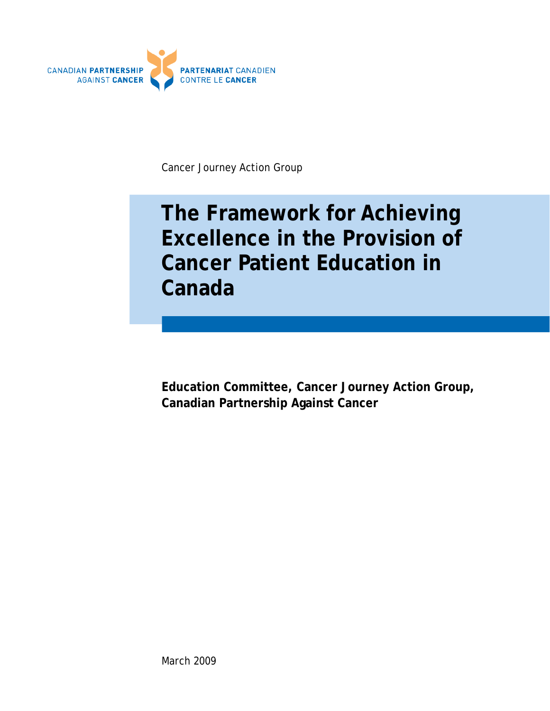

Cancer Journey Action Group

# **The Framework for Achieving Excellence in the Provision of Cancer Patient Education in Canada**

**Education Committee, Cancer Journey Action Group, Canadian Partnership Against Cancer**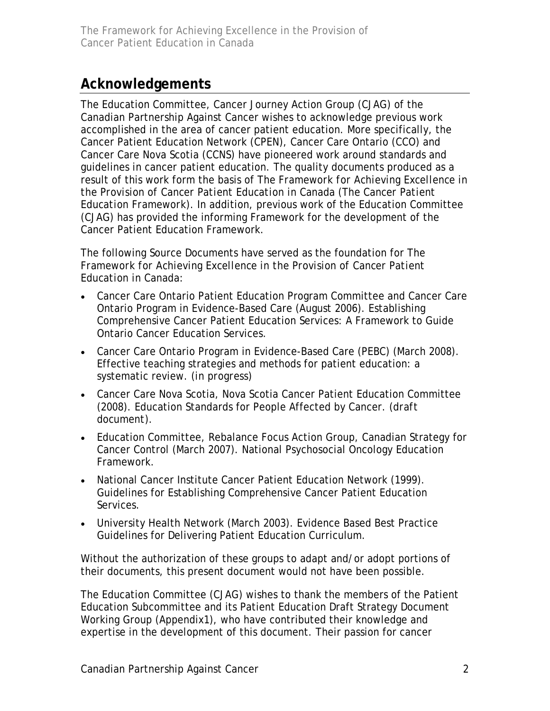## **Acknowledgements**

The Education Committee, Cancer Journey Action Group (CJAG) of the Canadian Partnership Against Cancer wishes to acknowledge previous work accomplished in the area of cancer patient education. More specifically, the Cancer Patient Education Network (CPEN), Cancer Care Ontario (CCO) and Cancer Care Nova Scotia (CCNS) have pioneered work around standards and guidelines in cancer patient education. The quality documents produced as a result of this work form the basis of *The Framework for Achieving Excellence in the Provision of Cancer Patient Education in Canada (The Cancer Patient Education Framework)*. In addition, previous work of the Education Committee (CJAG) has provided the informing Framework for the development of the Cancer Patient Education Framework.

The following Source Documents have served as the foundation for *The Framework for Achieving Excellence in the Provision of Cancer Patient Education in Canada:*

- Cancer Care Ontario Patient Education Program Committee and Cancer Care Ontario Program in Evidence-Based Care (August 2006). Establishing Comprehensive Cancer Patient Education Services: A Framework to Guide Ontario Cancer Education Services.
- Cancer Care Ontario Program in Evidence-Based Care (PEBC) (March 2008). Effective teaching strategies and methods for patient education: a systematic review. *(in progress)*
- Cancer Care Nova Scotia, Nova Scotia Cancer Patient Education Committee (2008). Education Standards for People Affected by Cancer. *(draft document).*
- Education Committee, Rebalance Focus Action Group, Canadian Strategy for Cancer Control (March 2007). National Psychosocial Oncology Education Framework.
- National Cancer Institute Cancer Patient Education Network (1999). Guidelines for Establishing Comprehensive Cancer Patient Education Services.
- University Health Network (March 2003). Evidence Based Best Practice Guidelines for Delivering Patient Education Curriculum.

Without the authorization of these groups to adapt and/or adopt portions of their documents, this present document would not have been possible.

The Education Committee (CJAG) wishes to thank the members of the Patient Education Subcommittee and its Patient Education Draft Strategy Document Working Group (Appendix1), who have contributed their knowledge and expertise in the development of this document. Their passion for cancer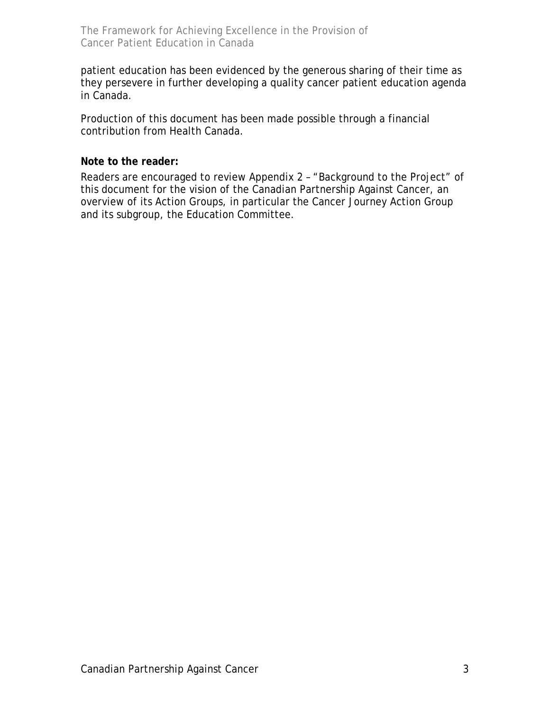patient education has been evidenced by the generous sharing of their time as they persevere in further developing a quality cancer patient education agenda in Canada.

Production of this document has been made possible through a financial contribution from Health Canada.

### **Note to the reader:**

Readers are encouraged to review Appendix 2 – "Background to the Project" of this document for the vision of the Canadian Partnership Against Cancer, an overview of its Action Groups, in particular the Cancer Journey Action Group and its subgroup, the Education Committee.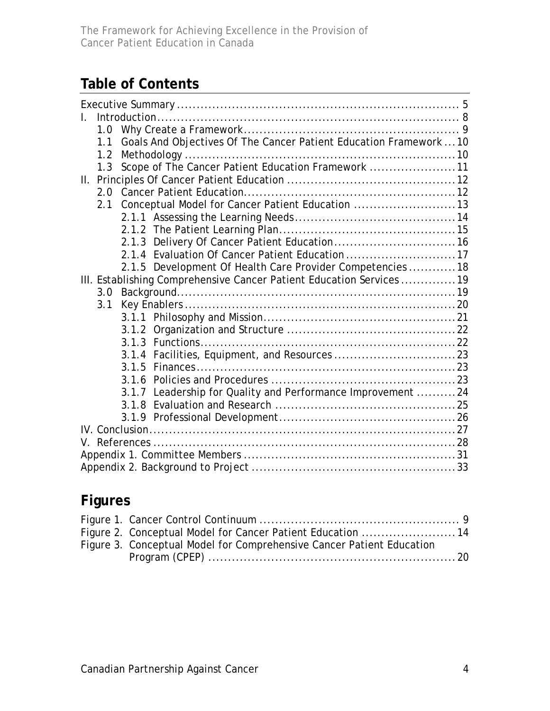## **Table of Contents**

|  | 1.0                                                                   |       |                                                                    |  |  |
|--|-----------------------------------------------------------------------|-------|--------------------------------------------------------------------|--|--|
|  | 1.1                                                                   |       | Goals And Objectives Of The Cancer Patient Education Framework  10 |  |  |
|  | 1.2                                                                   |       |                                                                    |  |  |
|  | 1.3                                                                   |       | Scope of The Cancer Patient Education Framework 11                 |  |  |
|  |                                                                       |       |                                                                    |  |  |
|  |                                                                       |       |                                                                    |  |  |
|  | 2.1                                                                   |       | Conceptual Model for Cancer Patient Education 13                   |  |  |
|  |                                                                       |       |                                                                    |  |  |
|  |                                                                       |       |                                                                    |  |  |
|  |                                                                       |       |                                                                    |  |  |
|  |                                                                       |       | 2.1.4 Evaluation Of Cancer Patient Education 17                    |  |  |
|  |                                                                       |       | 2.1.5 Development Of Health Care Provider Competencies  18         |  |  |
|  | III. Establishing Comprehensive Cancer Patient Education Services  19 |       |                                                                    |  |  |
|  | 3.0                                                                   |       |                                                                    |  |  |
|  | 3.1                                                                   |       |                                                                    |  |  |
|  |                                                                       |       |                                                                    |  |  |
|  |                                                                       |       |                                                                    |  |  |
|  |                                                                       |       |                                                                    |  |  |
|  |                                                                       |       |                                                                    |  |  |
|  |                                                                       |       |                                                                    |  |  |
|  |                                                                       |       |                                                                    |  |  |
|  |                                                                       | 3.1.7 | Leadership for Quality and Performance Improvement 24              |  |  |
|  |                                                                       | 3.1.8 |                                                                    |  |  |
|  |                                                                       |       |                                                                    |  |  |
|  |                                                                       |       |                                                                    |  |  |
|  |                                                                       |       |                                                                    |  |  |
|  |                                                                       |       |                                                                    |  |  |
|  |                                                                       |       |                                                                    |  |  |

## **Figures**

| Figure 2. Conceptual Model for Cancer Patient Education  14           |  |
|-----------------------------------------------------------------------|--|
| Figure 3. Conceptual Model for Comprehensive Cancer Patient Education |  |
|                                                                       |  |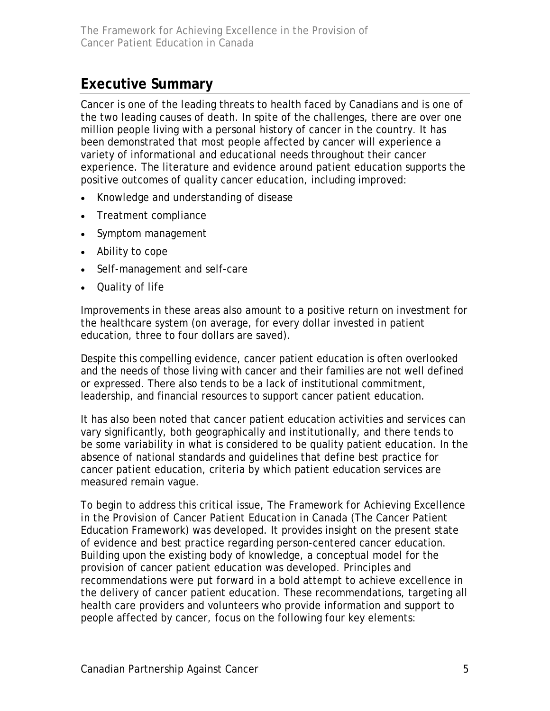## <span id="page-4-0"></span>**Executive Summary**

Cancer is one of the leading threats to health faced by Canadians and is one of the two leading causes of death. In spite of the challenges, there are over one million people living with a personal history of cancer in the country. It has been demonstrated that most people affected by cancer will experience a variety of informational and educational needs throughout their cancer experience. The literature and evidence around patient education supports the positive outcomes of quality cancer education, including improved:

- Knowledge and understanding of disease
- Treatment compliance
- Symptom management
- Ability to cope
- Self-management and self-care
- Quality of life

Improvements in these areas also amount to a positive return on investment for the healthcare system (on average, for every dollar invested in patient education, three to four dollars are saved).

Despite this compelling evidence, cancer patient education is often overlooked and the needs of those living with cancer and their families are not well defined or expressed. There also tends to be a lack of institutional commitment, leadership, and financial resources to support cancer patient education.

It has also been noted that cancer patient education activities and services can vary significantly, both geographically and institutionally, and there tends to be some variability in what is considered to be quality patient education. In the absence of national standards and guidelines that define best practice for cancer patient education, criteria by which patient education services are measured remain vague.

To begin to address this critical issue, The *Framework for Achieving Excellence in the Provision of Cancer Patient Education in Canada* (The Cancer Patient Education Framework) was developed. It provides insight on the present state of evidence and best practice regarding person-centered cancer education. Building upon the existing body of knowledge, a conceptual model for the provision of cancer patient education was developed. Principles and recommendations were put forward in a bold attempt to achieve excellence in the delivery of cancer patient education. These recommendations, targeting all health care providers and volunteers who provide information and support to people affected by cancer, focus on the following four key elements: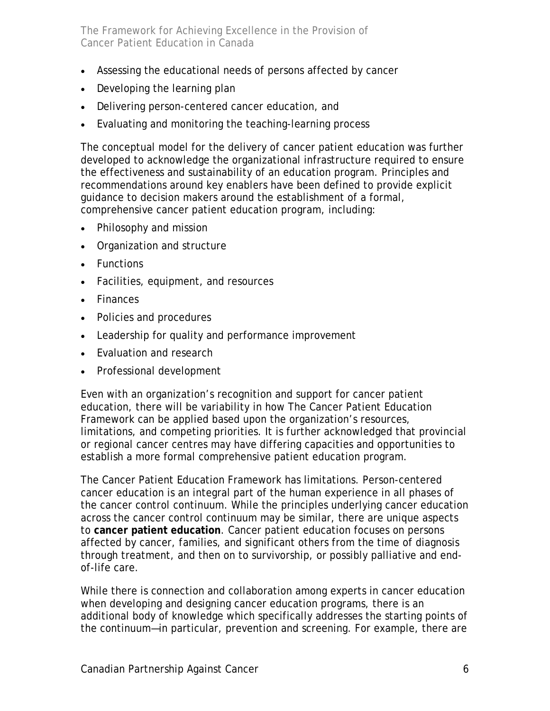- Assessing the educational needs of persons affected by cancer
- Developing the learning plan
- Delivering person-centered cancer education, and
- Evaluating and monitoring the teaching-learning process

The conceptual model for the delivery of cancer patient education was further developed to acknowledge the organizational infrastructure required to ensure the effectiveness and sustainability of an education program. Principles and recommendations around key enablers have been defined to provide explicit guidance to decision makers around the establishment of a formal, comprehensive cancer patient education program, including:

- Philosophy and mission
- Organization and structure
- Functions
- Facilities, equipment, and resources
- Finances
- Policies and procedures
- Leadership for quality and performance improvement
- Evaluation and research
- Professional development

Even with an organization's recognition and support for cancer patient education, there will be variability in how The Cancer Patient Education Framework can be applied based upon the organization's resources, limitations, and competing priorities. It is further acknowledged that provincial or regional cancer centres may have differing capacities and opportunities to establish a more formal comprehensive patient education program.

The Cancer Patient Education Framework has limitations. Person-centered cancer education is an integral part of the human experience in all phases of the cancer control continuum. While the principles underlying cancer education across the cancer control continuum may be similar, there are unique aspects to **cancer patient education**. Cancer patient education focuses on persons affected by cancer, families, and significant others from the time of diagnosis through treatment, and then on to survivorship, or possibly palliative and endof-life care.

While there is connection and collaboration among experts in cancer education when developing and designing cancer education programs, there is an additional body of knowledge which specifically addresses the starting points of the continuum—in particular, prevention and screening. For example, there are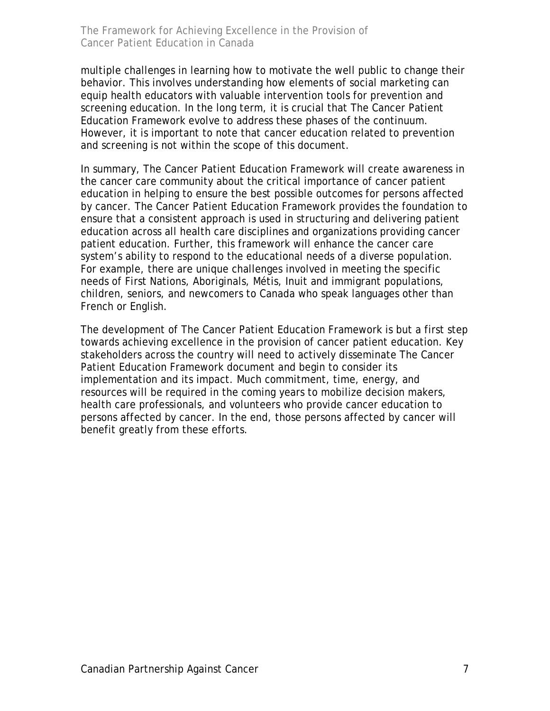multiple challenges in learning how to motivate the well public to change their behavior. This involves understanding how elements of social marketing can equip health educators with valuable intervention tools for prevention and screening education. In the long term, it is crucial that The Cancer Patient Education Framework evolve to address these phases of the continuum. However, it is important to note that cancer education related to prevention and screening is not within the scope of this document.

In summary, The Cancer Patient Education Framework will create awareness in the cancer care community about the critical importance of cancer patient education in helping to ensure the best possible outcomes for persons affected by cancer. The Cancer Patient Education Framework provides the foundation to ensure that a consistent approach is used in structuring and delivering patient education across all health care disciplines and organizations providing cancer patient education. Further, this framework will enhance the cancer care system's ability to respond to the educational needs of a diverse population. For example, there are unique challenges involved in meeting the specific needs of First Nations, Aboriginals, Métis, Inuit and immigrant populations, children, seniors, and newcomers to Canada who speak languages other than French or English.

The development of The Cancer Patient Education Framework is but a first step towards achieving excellence in the provision of cancer patient education. Key stakeholders across the country will need to actively disseminate The Cancer Patient Education Framework document and begin to consider its implementation and its impact. Much commitment, time, energy, and resources will be required in the coming years to mobilize decision makers, health care professionals, and volunteers who provide cancer education to persons affected by cancer. In the end, those persons affected by cancer will benefit greatly from these efforts.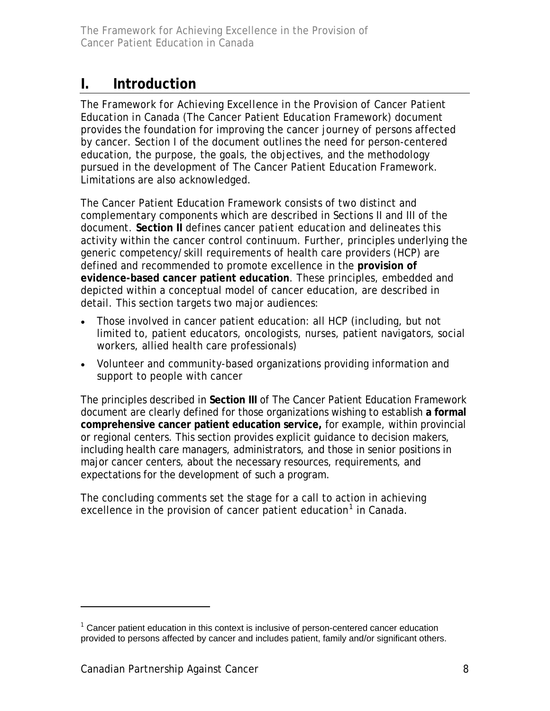## <span id="page-7-0"></span>**I. Introduction**

The *Framework for Achieving Excellence in the Provision of Cancer Patient Education in Canada* (The Cancer Patient Education Framework) document provides the foundation for improving the cancer journey of persons affected by cancer. Section I of the document outlines the need for person-centered education, the purpose, the goals, the objectives, and the methodology pursued in the development of The Cancer Patient Education Framework. Limitations are also acknowledged.

The Cancer Patient Education Framework consists of two distinct and complementary components which are described in Sections II and III of the document. **Section II** defines *cancer patient education* and delineates this activity within the cancer control continuum. Further, principles underlying the generic competency/skill requirements of health care providers (HCP) are defined and recommended to promote excellence in the **provision of evidence-based cancer patient education**. These principles, embedded and depicted within a conceptual model of cancer education, are described in detail. This section targets two major audiences:

- Those involved in cancer patient education: all HCP (including, but not limited to, patient educators, oncologists, nurses, patient navigators, social workers, allied health care professionals)
- Volunteer and community-based organizations providing information and support to people with cancer

The principles described in **Section III** of The Cancer Patient Education Framework document are clearly defined for those organizations wishing to establish **a formal comprehensive cancer patient education service,** for example, within provincial or regional centers. This section provides explicit guidance to decision makers, including health care managers, administrators, and those in senior positions in major cancer centers, about the necessary resources, requirements, and expectations for the development of such a program.

The concluding comments set the stage for a call to action in achieving excellence in the provision of cancer patient education<sup>[1](#page-7-1)</sup> in Canada.

-

<span id="page-7-1"></span> $1$  Cancer patient education in this context is inclusive of person-centered cancer education provided to persons affected by cancer and includes patient, family and/or significant others.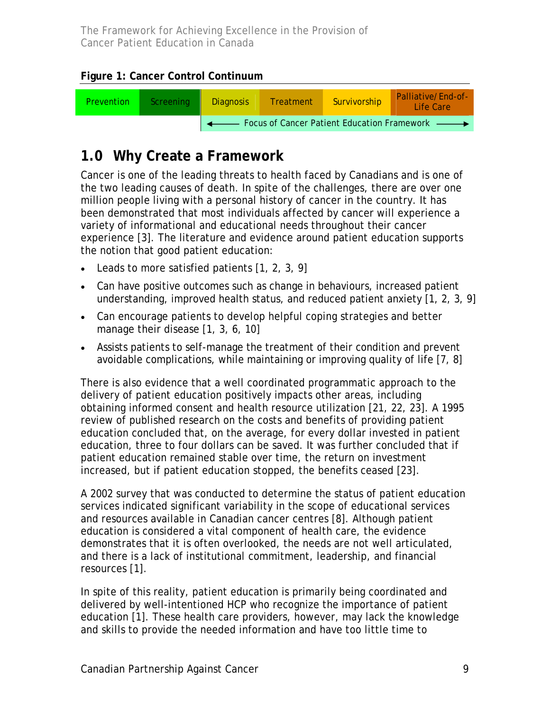<span id="page-8-0"></span>**Figure 1: Cancer Control Continuum** 



## **1.0 Why Create a Framework**

Cancer is one of the leading threats to health faced by Canadians and is one of the two leading causes of death. In spite of the challenges, there are over one million people living with a personal history of cancer in the country. It has been demonstrated that most individuals affected by cancer will experience a variety of informational and educational needs throughout their cancer experience [3]. The literature and evidence around patient education supports the notion that good patient education:

- Leads to more satisfied patients [1, 2, 3, 9]
- Can have positive outcomes such as change in behaviours, increased patient understanding, improved health status, and reduced patient anxiety [1, 2, 3, 9]
- Can encourage patients to develop helpful coping strategies and better manage their disease [1, 3, 6, 10]
- Assists patients to self-manage the treatment of their condition and prevent avoidable complications, while maintaining or improving quality of life [7, 8]

There is also evidence that a well coordinated programmatic approach to the delivery of patient education positively impacts other areas, including obtaining informed consent and health resource utilization [21, 22, 23]. A 1995 review of published research on the costs and benefits of providing patient education concluded that, on the average, for every dollar invested in patient education, three to four dollars can be saved. It was further concluded that if patient education remained stable over time, the return on investment increased, but if patient education stopped, the benefits ceased [23].

A 2002 survey that was conducted to determine the status of patient education services indicated significant variability in the scope of educational services and resources available in Canadian cancer centres [8]. Although patient education is considered a vital component of health care, the evidence demonstrates that it is often overlooked, the needs are not well articulated, and there is a lack of institutional commitment, leadership, and financial resources [1].

In spite of this reality, patient education is primarily being coordinated and delivered by well-intentioned HCP who recognize the importance of patient education [1]. These health care providers, however, may lack the knowledge and skills to provide the needed information and have too little time to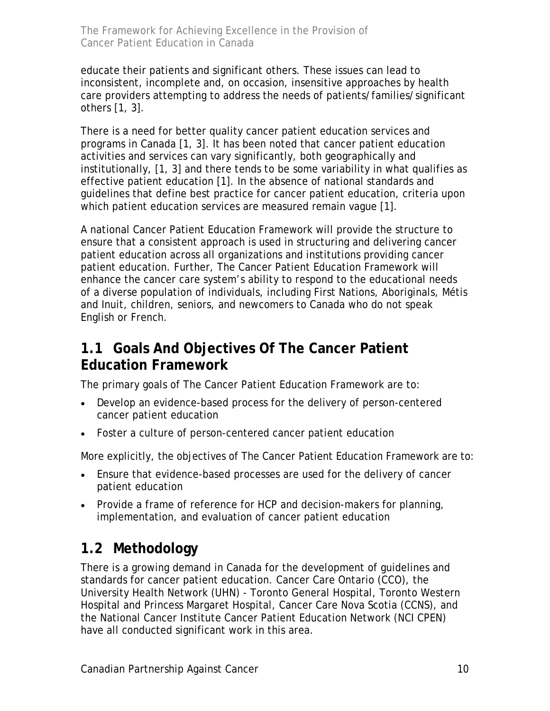<span id="page-9-0"></span>educate their patients and significant others. These issues can lead to inconsistent, incomplete and, on occasion, insensitive approaches by health care providers attempting to address the needs of patients/families/significant others [1, 3].

There is a need for better quality cancer patient education services and programs in Canada [1, 3]. It has been noted that cancer patient education activities and services can vary significantly, both geographically and institutionally, [1, 3] and there tends to be some variability in what qualifies as effective patient education [1]. In the absence of national standards and guidelines that define best practice for cancer patient education, criteria upon which patient education services are measured remain vague [1].

A national Cancer Patient Education Framework will provide the structure to ensure that a consistent approach is used in structuring and delivering cancer patient education across all organizations and institutions providing cancer patient education. Further, The Cancer Patient Education Framework will enhance the cancer care system's ability to respond to the educational needs of a diverse population of individuals, including First Nations, Aboriginals, Métis and Inuit, children, seniors, and newcomers to Canada who do not speak English or French.

## **1.1 Goals And Objectives Of The Cancer Patient Education Framework**

The primary goals of The Cancer Patient Education Framework are to:

- Develop an evidence-based process for the delivery of person-centered cancer patient education
- Foster a culture of person-centered cancer patient education

More explicitly, the objectives of The Cancer Patient Education Framework are to:

- Ensure that evidence-based processes are used for the delivery of cancer patient education
- Provide a frame of reference for HCP and decision-makers for planning, implementation, and evaluation of cancer patient education

## **1.2 Methodology**

There is a growing demand in Canada for the development of guidelines and standards for cancer patient education. Cancer Care Ontario (CCO), the University Health Network (UHN) - Toronto General Hospital, Toronto Western Hospital and Princess Margaret Hospital, Cancer Care Nova Scotia (CCNS), and the National Cancer Institute Cancer Patient Education Network (NCI CPEN) have all conducted significant work in this area.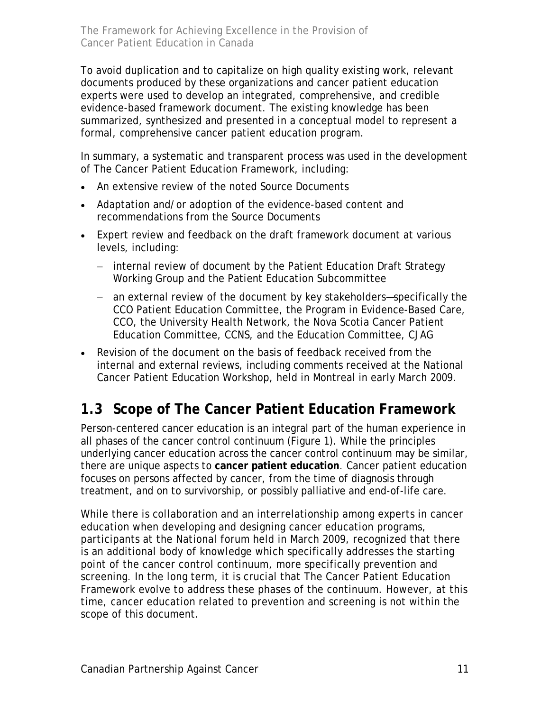<span id="page-10-0"></span>To avoid duplication and to capitalize on high quality existing work, relevant documents produced by these organizations and cancer patient education experts were used to develop an integrated, comprehensive, and credible evidence-based framework document. The existing knowledge has been summarized, synthesized and presented in a conceptual model to represent a formal, comprehensive cancer patient education program.

In summary, a systematic and transparent process was used in the development of The Cancer Patient Education Framework, including:

- An extensive review of the noted Source Documents
- Adaptation and/or adoption of the evidence-based content and recommendations from the Source Documents
- Expert review and feedback on the draft framework document at various levels, including:
	- − internal review of document by the Patient Education Draft Strategy Working Group and the Patient Education Subcommittee
	- − an external review of the document by key stakeholders—specifically the CCO Patient Education Committee, the Program in Evidence-Based Care, CCO, the University Health Network, the Nova Scotia Cancer Patient Education Committee, CCNS, and the Education Committee, CJAG
- Revision of the document on the basis of feedback received from the internal and external reviews, including comments received at the National Cancer Patient Education Workshop, held in Montreal in early March 2009.

## **1.3 Scope of The Cancer Patient Education Framework**

Person-centered cancer education is an integral part of the human experience in all phases of the cancer control continuum (Figure 1). While the principles underlying cancer education across the cancer control continuum may be similar, there are unique aspects to **cancer patient education**. Cancer patient education focuses on persons affected by cancer, from the time of diagnosis through treatment, and on to survivorship, or possibly palliative and end-of-life care.

While there is collaboration and an interrelationship among experts in cancer education when developing and designing cancer education programs, participants at the National forum held in March 2009, recognized that there is an additional body of knowledge which specifically addresses the starting point of the cancer control continuum, more specifically prevention and screening. In the long term, it is crucial that The Cancer Patient Education Framework evolve to address these phases of the continuum. However, at this time, cancer education related to prevention and screening is not within the scope of this document.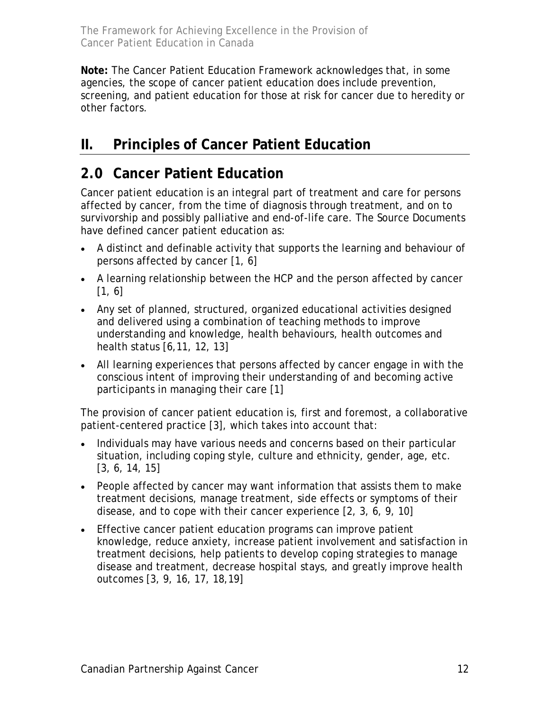<span id="page-11-0"></span>**Note:** The Cancer Patient Education Framework acknowledges that, in some agencies, the scope of cancer patient education does include prevention, screening, and patient education for those at risk for cancer due to heredity or other factors.

## **II. Principles of Cancer Patient Education**

## **2.0 Cancer Patient Education**

Cancer patient education is an integral part of treatment and care for persons affected by cancer, from the time of diagnosis through treatment, and on to survivorship and possibly palliative and end-of-life care. The Source Documents have defined cancer patient education as:

- A distinct and definable activity that supports the learning and behaviour of persons affected by cancer [1, 6]
- A learning relationship between the HCP and the person affected by cancer [1, 6]
- Any set of planned, structured, organized educational activities designed and delivered using a combination of teaching methods to improve understanding and knowledge, health behaviours, health outcomes and health status [6,11, 12, 13]
- All learning experiences that persons affected by cancer engage in with the conscious intent of improving their understanding of and becoming active participants in managing their care [1]

The provision of cancer patient education is, first and foremost, a collaborative patient-centered practice [3], which takes into account that:

- Individuals may have various needs and concerns based on their particular situation, including coping style, culture and ethnicity, gender, age, etc. [3, 6, 14, 15]
- People affected by cancer may want information that assists them to make treatment decisions, manage treatment, side effects or symptoms of their disease, and to cope with their cancer experience [2, 3, 6, 9, 10]
- Effective cancer patient education programs can improve patient knowledge, reduce anxiety, increase patient involvement and satisfaction in treatment decisions, help patients to develop coping strategies to manage disease and treatment, decrease hospital stays, and greatly improve health outcomes [3, 9, 16, 17, 18,19]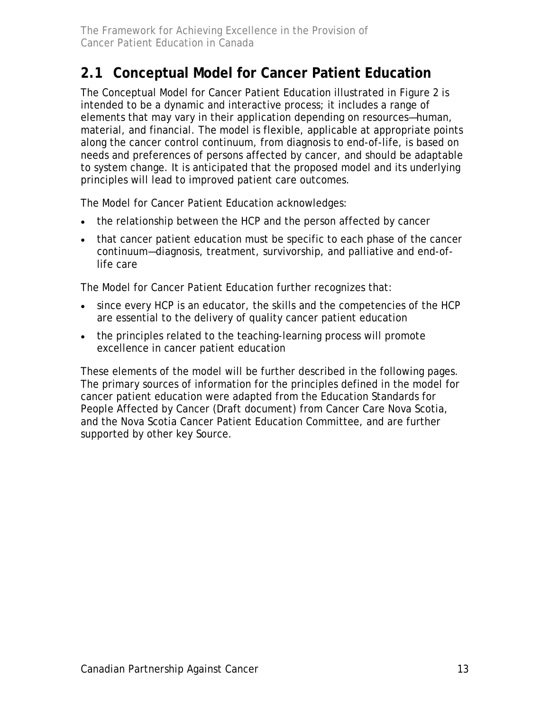## <span id="page-12-0"></span>**2.1 Conceptual Model for Cancer Patient Education**

The Conceptual Model for Cancer Patient Education illustrated in Figure 2 is intended to be a dynamic and interactive process; it includes a range of elements that may vary in their application depending on resources—human, material, and financial. The model is flexible, applicable at appropriate points along the cancer control continuum, from diagnosis to end-of-life, is based on needs and preferences of persons affected by cancer, and should be adaptable to system change. It is anticipated that the proposed model and its underlying principles will lead to improved patient care outcomes.

The Model for Cancer Patient Education acknowledges:

- the relationship between the HCP and the person affected by cancer
- that cancer patient education must be specific to each phase of the cancer continuum—diagnosis, treatment, survivorship, and palliative and end-oflife care

The Model for Cancer Patient Education further recognizes that:

- since every HCP is an educator, the skills and the competencies of the HCP are essential to the delivery of quality cancer patient education
- the principles related to the teaching-learning process will promote excellence in cancer patient education

These elements of the model will be further described in the following pages. The primary sources of information for the principles defined in the model for cancer patient education were adapted from the Education Standards for People Affected by Cancer (Draft document) from Cancer Care Nova Scotia, and the Nova Scotia Cancer Patient Education Committee, and are further supported by other key Source.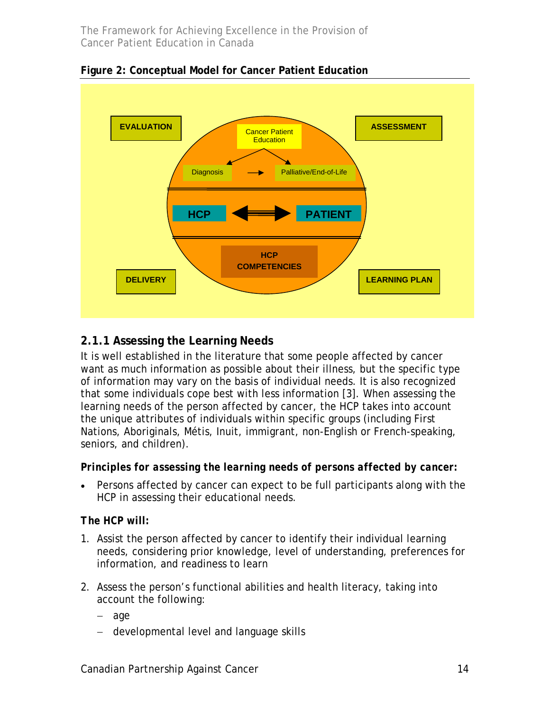

<span id="page-13-0"></span>**Figure 2: Conceptual Model for Cancer Patient Education** 

### **2.1.1 Assessing the Learning Needs**

It is well established in the literature that some people affected by cancer want as much information as possible about their illness, but the specific type of information may vary on the basis of individual needs. It is also recognized that some individuals cope best with less information [3]. When assessing the learning needs of the person affected by cancer, the HCP takes into account the unique attributes of individuals within specific groups (including First Nations, Aboriginals, Métis, Inuit, immigrant, non-English or French-speaking, seniors, and children).

#### *Principles for assessing the learning needs of persons affected by cancer:*

• Persons affected by cancer can expect to be full participants along with the HCP in assessing their educational needs.

#### *The HCP will:*

- 1. Assist the person affected by cancer to identify their individual learning needs, considering prior knowledge, level of understanding, preferences for information, and readiness to learn
- 2. Assess the person's functional abilities and health literacy, taking into account the following:
	- − age
	- − developmental level and language skills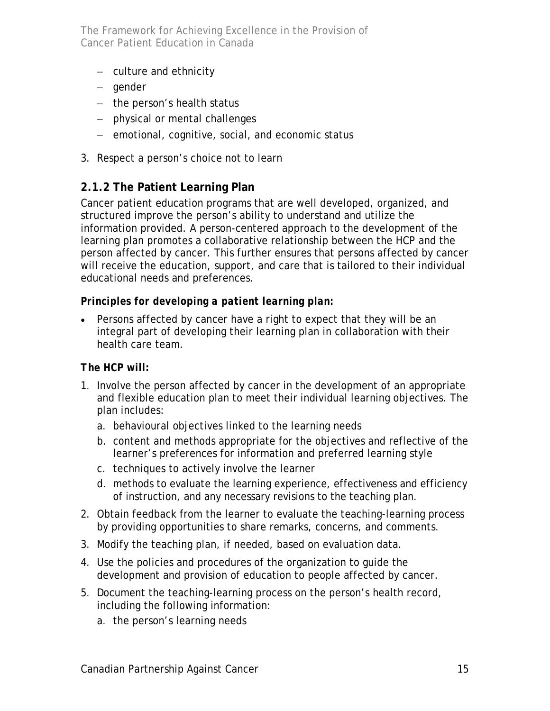- <span id="page-14-0"></span>− culture and ethnicity
- − gender
- − the person's health status
- − physical or mental challenges
- − emotional, cognitive, social, and economic status
- 3. Respect a person's choice not to learn

## **2.1.2 The Patient Learning Plan**

Cancer patient education programs that are well developed, organized, and structured improve the person's ability to understand and utilize the information provided. A person-centered approach to the development of the learning plan promotes a collaborative relationship between the HCP and the person affected by cancer. This further ensures that persons affected by cancer will receive the education, support, and care that is tailored to their individual educational needs and preferences.

### *Principles for developing a patient learning plan:*

• Persons affected by cancer have a right to expect that they will be an integral part of developing their learning plan in collaboration with their health care team.

#### *The HCP will:*

- 1. Involve the person affected by cancer in the development of an appropriate and flexible education plan to meet their individual learning objectives. The plan includes:
	- a. behavioural objectives linked to the learning needs
	- b. content and methods appropriate for the objectives and reflective of the learner's preferences for information and preferred learning style
	- c. techniques to actively involve the learner
	- d. methods to evaluate the learning experience, effectiveness and efficiency of instruction, and any necessary revisions to the teaching plan.
- 2. Obtain feedback from the learner to evaluate the teaching-learning process by providing opportunities to share remarks, concerns, and comments.
- 3. Modify the teaching plan, if needed, based on evaluation data.
- 4. Use the policies and procedures of the organization to guide the development and provision of education to people affected by cancer.
- 5. Document the teaching-learning process on the person's health record, including the following information:
	- a. the person's learning needs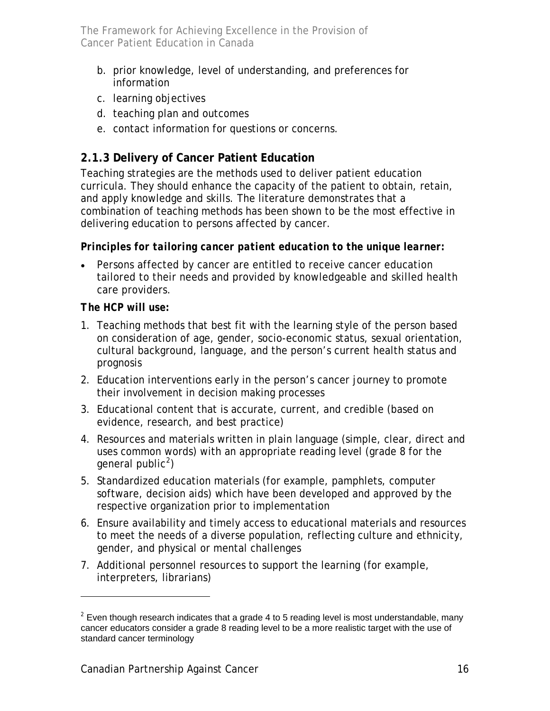- <span id="page-15-0"></span>b. prior knowledge, level of understanding, and preferences for information
- c. learning objectives
- d. teaching plan and outcomes
- e. contact information for questions or concerns.

## **2.1.3 Delivery of Cancer Patient Education**

Teaching strategies are the methods used to deliver patient education curricula. They should enhance the capacity of the patient to obtain, retain, and apply knowledge and skills. The literature demonstrates that a combination of teaching methods has been shown to be the most effective in delivering education to persons affected by cancer.

### *Principles for tailoring cancer patient education to the unique learner:*

• Persons affected by cancer are entitled to receive cancer education tailored to their needs and provided by knowledgeable and skilled health care providers.

#### *The HCP will use:*

-

- 1. Teaching methods that best fit with the learning style of the person based on consideration of age, gender, socio-economic status, sexual orientation, cultural background, language, and the person's current health status and prognosis
- 2. Education interventions early in the person's cancer journey to promote their involvement in decision making processes
- 3. Educational content that is accurate, current, and credible (based on evidence, research, and best practice)
- 4. Resources and materials written in plain language (simple, clear, direct and uses common words) with an appropriate reading level (grade 8 for the general public<sup>[2](#page-15-1)</sup>)
- 5. Standardized education materials (for example, pamphlets, computer software, decision aids) which have been developed and approved by the respective organization prior to implementation
- 6. Ensure availability and timely access to educational materials and resources to meet the needs of a diverse population, reflecting culture and ethnicity, gender, and physical or mental challenges
- 7. Additional personnel resources to support the learning (for example, interpreters, librarians)

<span id="page-15-1"></span> $2$  Even though research indicates that a grade 4 to 5 reading level is most understandable, many cancer educators consider a grade 8 reading level to be a more realistic target with the use of standard cancer terminology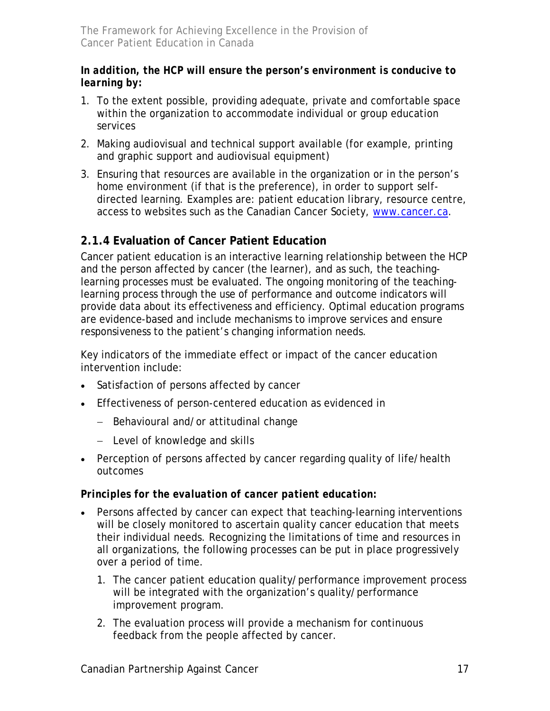### <span id="page-16-0"></span>*In addition, the HCP will ensure the person's environment is conducive to learning by:*

- 1. To the extent possible, providing adequate, private and comfortable space within the organization to accommodate individual or group education services
- 2. Making audiovisual and technical support available (for example, printing and graphic support and audiovisual equipment)
- 3. Ensuring that resources are available in the organization or in the person's home environment (if that is the preference), in order to support selfdirected learning. Examples are: patient education library, resource centre, access to websites such as the Canadian Cancer Society, [www.cancer.ca](http://www.cancer.ca/).

## **2.1.4 Evaluation of Cancer Patient Education**

Cancer patient education is an interactive learning relationship between the HCP and the person affected by cancer (the learner), and as such, the teachinglearning processes must be evaluated. The ongoing monitoring of the teachinglearning process through the use of performance and outcome indicators will provide data about its effectiveness and efficiency. Optimal education programs are evidence-based and include mechanisms to improve services and ensure responsiveness to the patient's changing information needs.

Key indicators of the immediate effect or impact of the cancer education intervention include:

- Satisfaction of persons affected by cancer
- Effectiveness of person-centered education as evidenced in
	- − Behavioural and/or attitudinal change
	- − Level of knowledge and skills
- Perception of persons affected by cancer regarding quality of life/health outcomes

### *Principles for the evaluation of cancer patient education:*

- Persons affected by cancer can expect that teaching-learning interventions will be closely monitored to ascertain quality cancer education that meets their individual needs. Recognizing the limitations of time and resources in all organizations, the following processes can be put in place progressively over a period of time.
	- 1. The cancer patient education quality/performance improvement process will be integrated with the organization's quality/performance improvement program.
	- 2. The evaluation process will provide a mechanism for continuous feedback from the people affected by cancer.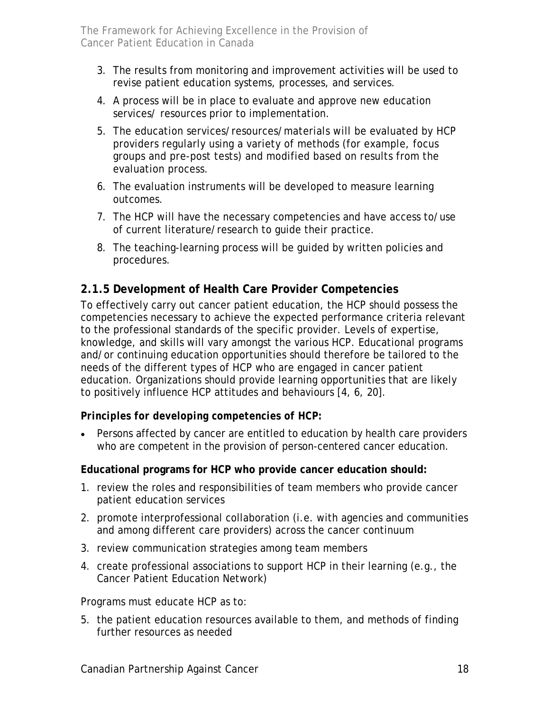- <span id="page-17-0"></span>3. The results from monitoring and improvement activities will be used to revise patient education systems, processes, and services.
- 4. A process will be in place to evaluate and approve new education services/ resources prior to implementation.
- 5. The education services/resources/materials will be evaluated by HCP providers regularly using a variety of methods (for example, focus groups and pre-post tests) and modified based on results from the evaluation process.
- 6. The evaluation instruments will be developed to measure learning outcomes.
- 7. The HCP will have the necessary competencies and have access to/use of current literature/research to guide their practice.
- 8. The teaching-learning process will be guided by written policies and procedures.

### **2.1.5 Development of Health Care Provider Competencies**

To effectively carry out cancer patient education, the HCP should possess the competencies necessary to achieve the expected performance criteria relevant to the professional standards of the specific provider. Levels of expertise, knowledge, and skills will vary amongst the various HCP. Educational programs and/or continuing education opportunities should therefore be tailored to the needs of the different types of HCP who are engaged in cancer patient education. Organizations should provide learning opportunities that are likely to positively influence HCP attitudes and behaviours [4, 6, 20].

### *Principles for developing competencies of HCP:*

• Persons affected by cancer are entitled to education by health care providers who are competent in the provision of person-centered cancer education.

#### **Educational programs for HCP who provide cancer education should:**

- 1. review the roles and responsibilities of team members who provide cancer patient education services
- 2. promote interprofessional collaboration (i.e. with agencies and communities and among different care providers) across the cancer continuum
- 3. review communication strategies among team members
- 4. create professional associations to support HCP in their learning (e.g., the Cancer Patient Education Network)

Programs must educate HCP as to:

5. the patient education resources available to them, and methods of finding further resources as needed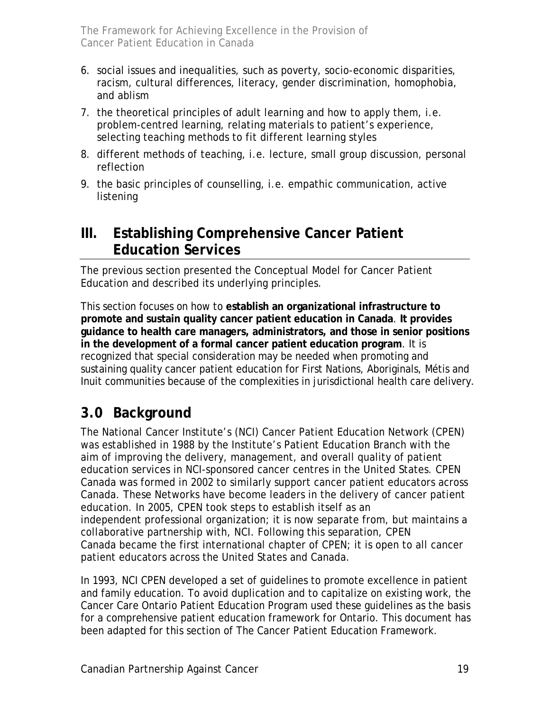- <span id="page-18-0"></span>6. social issues and inequalities, such as poverty, socio-economic disparities, racism, cultural differences, literacy, gender discrimination, homophobia, and ablism
- 7. the theoretical principles of adult learning and how to apply them, i.e. problem-centred learning, relating materials to patient's experience, selecting teaching methods to fit different learning styles
- 8. different methods of teaching, i.e. lecture, small group discussion, personal reflection
- 9. the basic principles of counselling, i.e. empathic communication, active listening

## **III. Establishing Comprehensive Cancer Patient Education Services**

The previous section presented the Conceptual Model for Cancer Patient Education and described its underlying principles.

This section focuses on how to **establish an organizational infrastructure to promote and sustain quality cancer patient education in Canada**. **It provides guidance to health care managers, administrators, and those in senior positions in the development of a formal cancer patient education program**. It is recognized that special consideration may be needed when promoting and sustaining quality cancer patient education for First Nations, Aboriginals, Métis and Inuit communities because of the complexities in jurisdictional health care delivery.

## **3.0 Background**

The National Cancer Institute's (NCI) Cancer Patient Education Network (CPEN) was established in 1988 by the Institute's Patient Education Branch with the aim of improving the delivery, management, and overall quality of patient education services in NCI-sponsored cancer centres in the United States. CPEN Canada was formed in 2002 to similarly support cancer patient educators across Canada. These Networks have become leaders in the delivery of cancer patient education. In 2005, CPEN took steps to establish itself as an independent professional organization; it is now separate from, but maintains a collaborative partnership with, NCI. Following this separation, CPEN Canada became the first international chapter of CPEN; it is open to all cancer patient educators across the United States and Canada.

In 1993, NCI CPEN developed a set of guidelines to promote excellence in patient and family education. To avoid duplication and to capitalize on existing work, the Cancer Care Ontario Patient Education Program used these guidelines as the basis for a comprehensive patient education framework for Ontario. This document has been adapted for this section of The Cancer Patient Education Framework.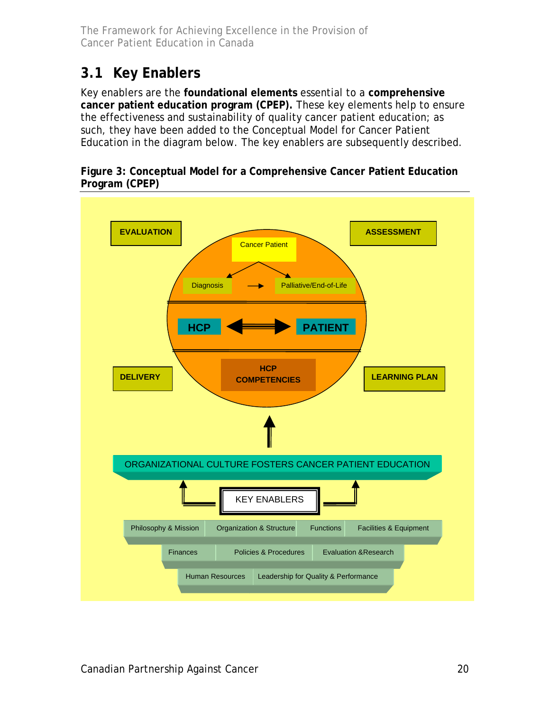## <span id="page-19-0"></span>**3.1 Key Enablers**

Key enablers are the **foundational elements** essential to a **comprehensive cancer patient education program (CPEP).** These key elements help to ensure the effectiveness and sustainability of quality cancer patient education; as such, they have been added to the Conceptual Model for Cancer Patient Education in the diagram below. The key enablers are subsequently described.

#### **Figure 3: Conceptual Model for a Comprehensive Cancer Patient Education Program (CPEP)**

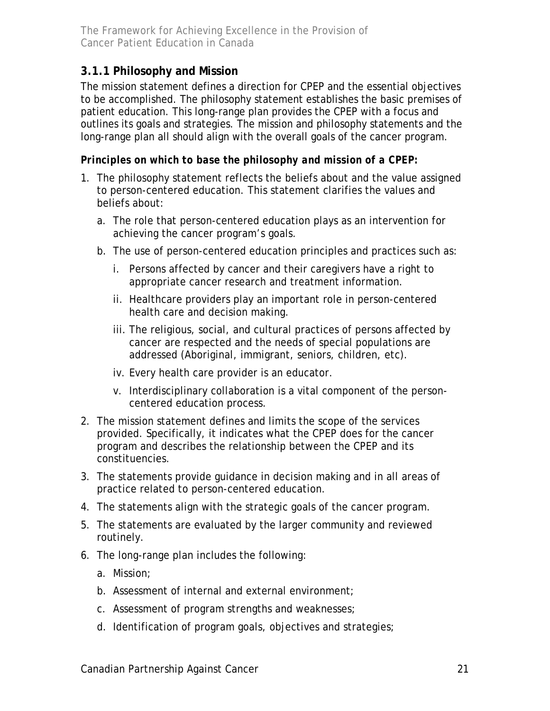## <span id="page-20-0"></span>**3.1.1 Philosophy and Mission**

The mission statement defines a direction for CPEP and the essential objectives to be accomplished. The philosophy statement establishes the basic premises of patient education. This long-range plan provides the CPEP with a focus and outlines its goals and strategies. The mission and philosophy statements and the long-range plan all should align with the overall goals of the cancer program.

### *Principles on which to base the philosophy and mission of a CPEP:*

- 1. The philosophy statement reflects the beliefs about and the value assigned to person-centered education. This statement clarifies the values and beliefs about:
	- a. The role that person-centered education plays as an intervention for achieving the cancer program's goals.
	- b. The use of person-centered education principles and practices such as:
		- i. Persons affected by cancer and their caregivers have a right to appropriate cancer research and treatment information.
		- ii. Healthcare providers play an important role in person-centered health care and decision making.
		- iii. The religious, social, and cultural practices of persons affected by cancer are respected and the needs of special populations are addressed (Aboriginal, immigrant, seniors, children, etc).
		- iv. Every health care provider is an educator.
		- v. Interdisciplinary collaboration is a vital component of the personcentered education process.
- 2. The mission statement defines and limits the scope of the services provided. Specifically, it indicates what the CPEP does for the cancer program and describes the relationship between the CPEP and its constituencies.
- 3. The statements provide guidance in decision making and in all areas of practice related to person-centered education.
- 4. The statements align with the strategic goals of the cancer program.
- 5. The statements are evaluated by the larger community and reviewed routinely.
- 6. The long-range plan includes the following:
	- a. Mission;
	- b. Assessment of internal and external environment;
	- c. Assessment of program strengths and weaknesses;
	- d. Identification of program goals, objectives and strategies;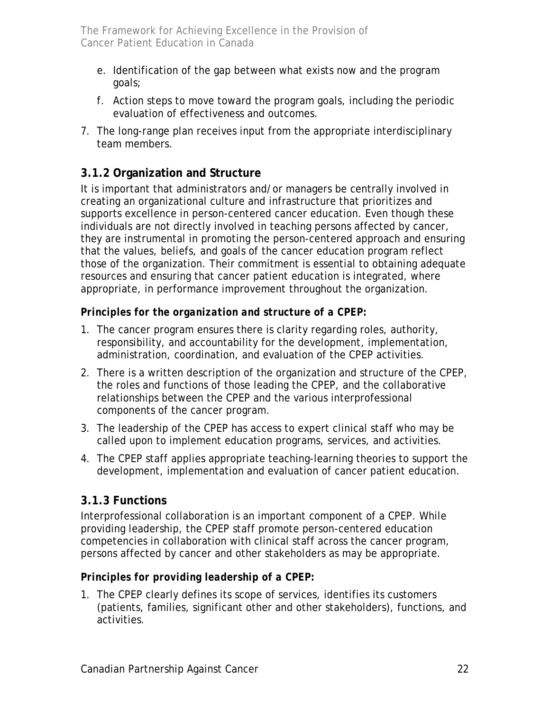- <span id="page-21-0"></span>e. Identification of the gap between what exists now and the program goals;
- f. Action steps to move toward the program goals, including the periodic evaluation of effectiveness and outcomes.
- 7. The long-range plan receives input from the appropriate interdisciplinary team members.

## **3.1.2 Organization and Structure**

It is important that administrators and/or managers be centrally involved in creating an organizational culture and infrastructure that prioritizes and supports excellence in person-centered cancer education. Even though these individuals are not directly involved in teaching persons affected by cancer, they are instrumental in promoting the person-centered approach and ensuring that the values, beliefs, and goals of the cancer education program reflect those of the organization. Their commitment is essential to obtaining adequate resources and ensuring that cancer patient education is integrated, where appropriate, in performance improvement throughout the organization.

### *Principles for the organization and structure of a CPEP:*

- 1. The cancer program ensures there is clarity regarding roles, authority, responsibility, and accountability for the development, implementation, administration, coordination, and evaluation of the CPEP activities.
- 2. There is a written description of the organization and structure of the CPEP, the roles and functions of those leading the CPEP, and the collaborative relationships between the CPEP and the various interprofessional components of the cancer program.
- 3. The leadership of the CPEP has access to expert clinical staff who may be called upon to implement education programs, services, and activities.
- 4. The CPEP staff applies appropriate teaching-learning theories to support the development, implementation and evaluation of cancer patient education.

## **3.1.3 Functions**

Interprofessional collaboration is an important component of a CPEP. While providing leadership, the CPEP staff promote person-centered education competencies in collaboration with clinical staff across the cancer program, persons affected by cancer and other stakeholders as may be appropriate.

### *Principles for providing leadership of a CPEP:*

1. The CPEP clearly defines its scope of services, identifies its customers (patients, families, significant other and other stakeholders), functions, and activities.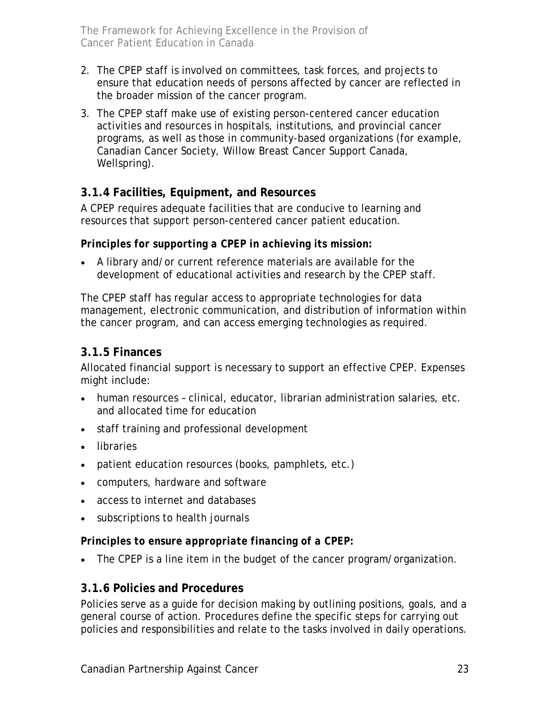- <span id="page-22-0"></span>2. The CPEP staff is involved on committees, task forces, and projects to ensure that education needs of persons affected by cancer are reflected in the broader mission of the cancer program.
- 3. The CPEP staff make use of existing person-centered cancer education activities and resources in hospitals, institutions, and provincial cancer programs, as well as those in community-based organizations (for example, Canadian Cancer Society, Willow Breast Cancer Support Canada, Wellspring).

### **3.1.4 Facilities, Equipment, and Resources**

A CPEP requires adequate facilities that are conducive to learning and resources that support person-centered cancer patient education.

### *Principles for supporting a CPEP in achieving its mission:*

• A library and/or current reference materials are available for the development of educational activities and research by the CPEP staff.

The CPEP staff has regular access to appropriate technologies for data management, electronic communication, and distribution of information within the cancer program, and can access emerging technologies as required.

### **3.1.5 Finances**

Allocated financial support is necessary to support an effective CPEP. Expenses might include:

- human resources clinical, educator, librarian administration salaries, etc. and allocated time for education
- staff training and professional development
- libraries
- patient education resources (books, pamphlets, etc.)
- computers, hardware and software
- access to internet and databases
- subscriptions to health journals

#### *Principles to ensure appropriate financing of a CPEP:*

• The CPEP is a line item in the budget of the cancer program/organization.

### **3.1.6 Policies and Procedures**

Policies serve as a guide for decision making by outlining positions, goals, and a general course of action. Procedures define the specific steps for carrying out policies and responsibilities and relate to the tasks involved in daily operations.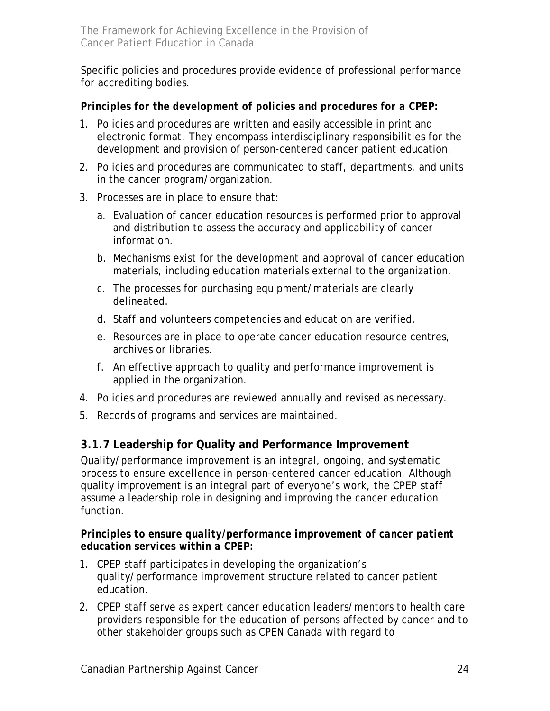<span id="page-23-0"></span>Specific policies and procedures provide evidence of professional performance for accrediting bodies.

### *Principles for the development of policies and procedures for a CPEP:*

- 1. Policies and procedures are written and easily accessible in print and electronic format. They encompass interdisciplinary responsibilities for the development and provision of person-centered cancer patient education.
- 2. Policies and procedures are communicated to staff, departments, and units in the cancer program/organization.
- 3. Processes are in place to ensure that:
	- a. Evaluation of cancer education resources is performed prior to approval and distribution to assess the accuracy and applicability of cancer information.
	- b. Mechanisms exist for the development and approval of cancer education materials, including education materials external to the organization.
	- c. The processes for purchasing equipment/materials are clearly delineated.
	- d. Staff and volunteers competencies and education are verified.
	- e. Resources are in place to operate cancer education resource centres, archives or libraries.
	- f. An effective approach to quality and performance improvement is applied in the organization.
- 4. Policies and procedures are reviewed annually and revised as necessary.
- 5. Records of programs and services are maintained.

## **3.1.7 Leadership for Quality and Performance Improvement**

Quality/performance improvement is an integral, ongoing, and systematic process to ensure excellence in person-centered cancer education. Although quality improvement is an integral part of everyone's work, the CPEP staff assume a leadership role in designing and improving the cancer education function.

#### *Principles to ensure quality/performance improvement of cancer patient education services within a CPEP:*

- 1. CPEP staff participates in developing the organization's quality/performance improvement structure related to cancer patient education.
- 2. CPEP staff serve as expert cancer education leaders/mentors to health care providers responsible for the education of persons affected by cancer and to other stakeholder groups such as CPEN Canada with regard to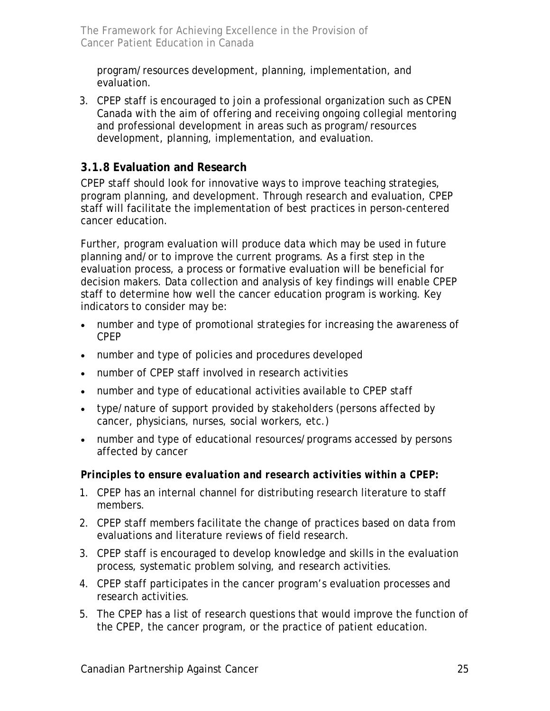<span id="page-24-0"></span>program/resources development, planning, implementation, and evaluation.

3. CPEP staff is encouraged to join a professional organization such as CPEN Canada with the aim of offering and receiving ongoing collegial mentoring and professional development in areas such as program/resources development, planning, implementation, and evaluation.

### **3.1.8 Evaluation and Research**

CPEP staff should look for innovative ways to improve teaching strategies, program planning, and development. Through research and evaluation, CPEP staff will facilitate the implementation of best practices in person-centered cancer education.

Further, program evaluation will produce data which may be used in future planning and/or to improve the current programs. As a first step in the evaluation process, a process or formative evaluation will be beneficial for decision makers. Data collection and analysis of key findings will enable CPEP staff to determine how well the cancer education program is working. Key indicators to consider may be:

- number and type of promotional strategies for increasing the awareness of CPEP
- number and type of policies and procedures developed
- number of CPEP staff involved in research activities
- number and type of educational activities available to CPEP staff
- type/nature of support provided by stakeholders (persons affected by cancer, physicians, nurses, social workers, etc.)
- number and type of educational resources/programs accessed by persons affected by cancer

#### *Principles to ensure evaluation and research activities within a CPEP:*

- 1. CPEP has an internal channel for distributing research literature to staff members.
- 2. CPEP staff members facilitate the change of practices based on data from evaluations and literature reviews of field research.
- 3. CPEP staff is encouraged to develop knowledge and skills in the evaluation process, systematic problem solving, and research activities.
- 4. CPEP staff participates in the cancer program's evaluation processes and research activities.
- 5. The CPEP has a list of research questions that would improve the function of the CPEP, the cancer program, or the practice of patient education.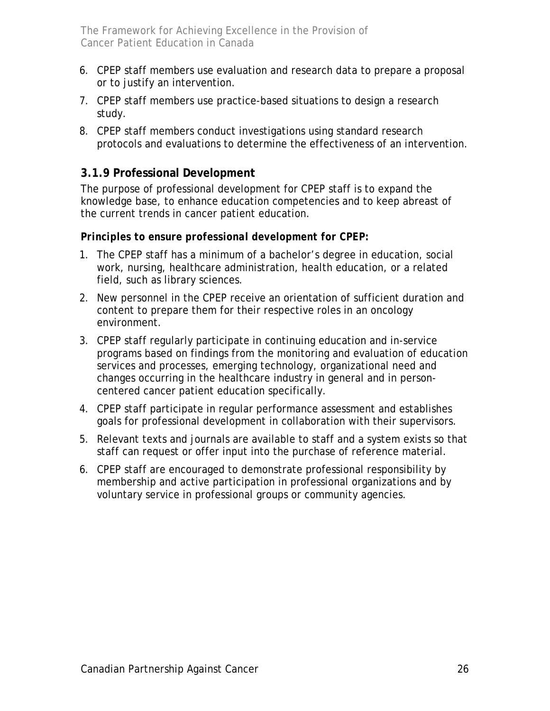- <span id="page-25-0"></span>6. CPEP staff members use evaluation and research data to prepare a proposal or to justify an intervention.
- 7. CPEP staff members use practice-based situations to design a research study.
- 8. CPEP staff members conduct investigations using standard research protocols and evaluations to determine the effectiveness of an intervention.

## **3.1.9 Professional Development**

The purpose of professional development for CPEP staff is to expand the knowledge base, to enhance education competencies and to keep abreast of the current trends in cancer patient education.

### *Principles to ensure professional development for CPEP:*

- 1. The CPEP staff has a minimum of a bachelor's degree in education, social work, nursing, healthcare administration, health education, or a related field, such as library sciences.
- 2. New personnel in the CPEP receive an orientation of sufficient duration and content to prepare them for their respective roles in an oncology environment.
- 3. CPEP staff regularly participate in continuing education and in-service programs based on findings from the monitoring and evaluation of education services and processes, emerging technology, organizational need and changes occurring in the healthcare industry in general and in personcentered cancer patient education specifically.
- 4. CPEP staff participate in regular performance assessment and establishes goals for professional development in collaboration with their supervisors.
- 5. Relevant texts and journals are available to staff and a system exists so that staff can request or offer input into the purchase of reference material.
- 6. CPEP staff are encouraged to demonstrate professional responsibility by membership and active participation in professional organizations and by voluntary service in professional groups or community agencies.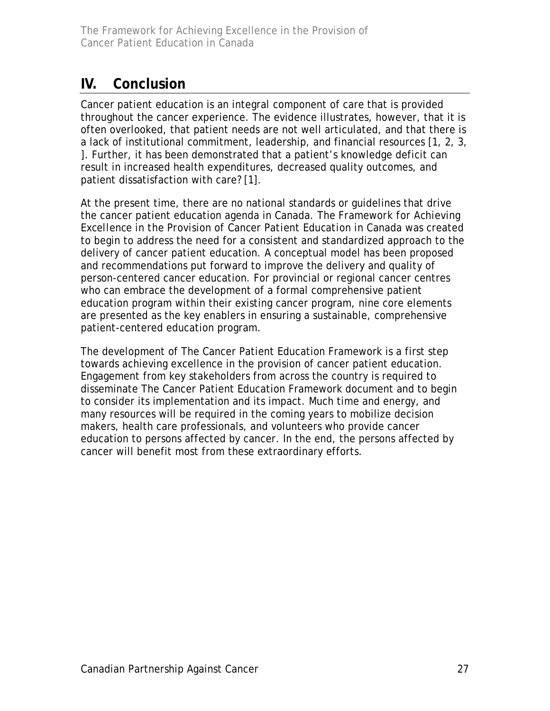## <span id="page-26-0"></span>**IV. Conclusion**

Cancer patient education is an integral component of care that is provided throughout the cancer experience. The evidence illustrates, however, that it is often overlooked, that patient needs are not well articulated, and that there is a lack of institutional commitment, leadership, and financial resources [1, 2, 3, ]. Further, it has been demonstrated that a patient's knowledge deficit can result in increased health expenditures, decreased quality outcomes, and patient dissatisfaction with care? [1].

At the present time, there are no national standards or guidelines that drive the cancer patient education agenda in Canada. *The Framework for Achieving Excellence in the Provision of Cancer Patient Education in Canada* was created to begin to address the need for a consistent and standardized approach to the delivery of cancer patient education. A conceptual model has been proposed and recommendations put forward to improve the delivery and quality of person-centered cancer education. For provincial or regional cancer centres who can embrace the development of a formal comprehensive patient education program within their existing cancer program, nine core elements are presented as the key enablers in ensuring a sustainable, comprehensive patient-centered education program.

The development of The Cancer Patient Education Framework is a first step towards achieving excellence in the provision of cancer patient education. Engagement from key stakeholders from across the country is required to disseminate The Cancer Patient Education Framework document and to begin to consider its implementation and its impact. Much time and energy, and many resources will be required in the coming years to mobilize decision makers, health care professionals, and volunteers who provide cancer education to persons affected by cancer. In the end, the persons affected by cancer will benefit most from these extraordinary efforts.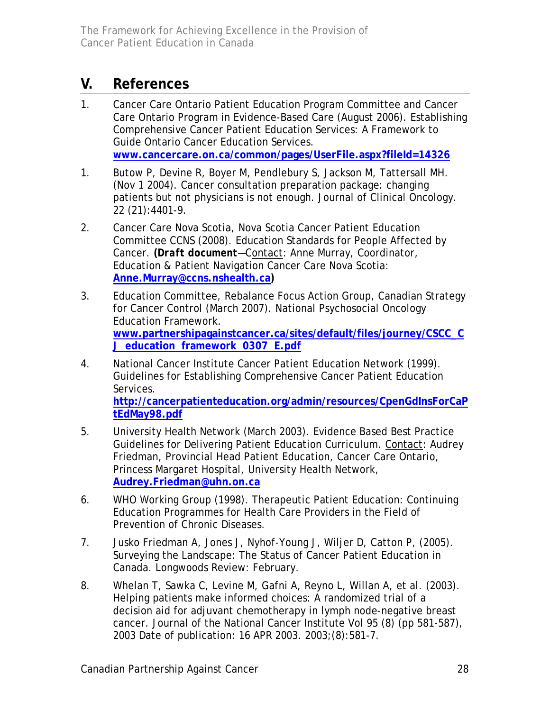## <span id="page-27-0"></span>**V. References**

- 1. Cancer Care Ontario Patient Education Program Committee and Cancer Care Ontario Program in Evidence-Based Care (August 2006). Establishing Comprehensive Cancer Patient Education Services: A Framework to Guide Ontario Cancer Education Services. **[www.cancercare.on.ca/common/pages/UserFile.aspx?fileId=14326](http://www.cancercare.on.ca/common/pages/UserFile.aspx?fileId=14326)**
- 1. Butow P, Devine R, Boyer M, Pendlebury S, Jackson M, Tattersall MH. (Nov 1 2004). Cancer consultation preparation package: changing patients but not physicians is not enough. Journal of Clinical Oncology. 22 (21):4401-9.
- 2. Cancer Care Nova Scotia, Nova Scotia Cancer Patient Education Committee CCNS (2008). Education Standards for People Affected by Cancer. **(***Draft document*—Contact: Anne Murray, Coordinator, Education & Patient Navigation Cancer Care Nova Scotia: **[Anne.Murray@ccns.nshealth.ca](mailto:Anne.Murray@ccns.nshealth.ca))**
- 3. Education Committee, Rebalance Focus Action Group, Canadian Strategy for Cancer Control (March 2007). National Psychosocial Oncology Education Framework. **[www.partnershipagainstcancer.ca/sites/default/files/journey/CSCC\\_C](http://www.partnershipagainstcancer.ca/sites/default/files/journey/CSCC_CJ_education_framework_0307_E.pdf) [J\\_education\\_framework\\_0307\\_E.pdf](http://www.partnershipagainstcancer.ca/sites/default/files/journey/CSCC_CJ_education_framework_0307_E.pdf)**
- 4. National Cancer Institute Cancer Patient Education Network (1999). Guidelines for Establishing Comprehensive Cancer Patient Education Services.

**[http://cancerpatienteducation.org/admin/resources/CpenGdInsForCaP](http://cancerpatienteducation.org/admin/resources/CpenGdInsForCaPtEdMay98.pdf) [tEdMay98.pdf](http://cancerpatienteducation.org/admin/resources/CpenGdInsForCaPtEdMay98.pdf)**

- 5. University Health Network (March 2003). Evidence Based Best Practice Guidelines for Delivering Patient Education Curriculum. Contact: Audrey Friedman, Provincial Head Patient Education, Cancer Care Ontario, Princess Margaret Hospital, University Health Network, **[Audrey.Friedman@uhn.on.ca](mailto:Audrey.Friedman@uhn.on.ca)**
- 6. WHO Working Group (1998). Therapeutic Patient Education: Continuing Education Programmes for Health Care Providers in the Field of Prevention of Chronic Diseases.
- 7. Jusko Friedman A, Jones J, Nyhof-Young J, Wiljer D, Catton P, (2005). Surveying the Landscape: The Status of Cancer Patient Education in Canada. Longwoods Review: February.
- 8. Whelan T, Sawka C, Levine M, Gafni A, Reyno L, Willan A, et al. (2003). Helping patients make informed choices: A randomized trial of a decision aid for adjuvant chemotherapy in lymph node-negative breast cancer. Journal of the National Cancer Institute Vol 95 (8) (pp 581-587), 2003 Date of publication: 16 APR 2003. 2003;(8):581-7.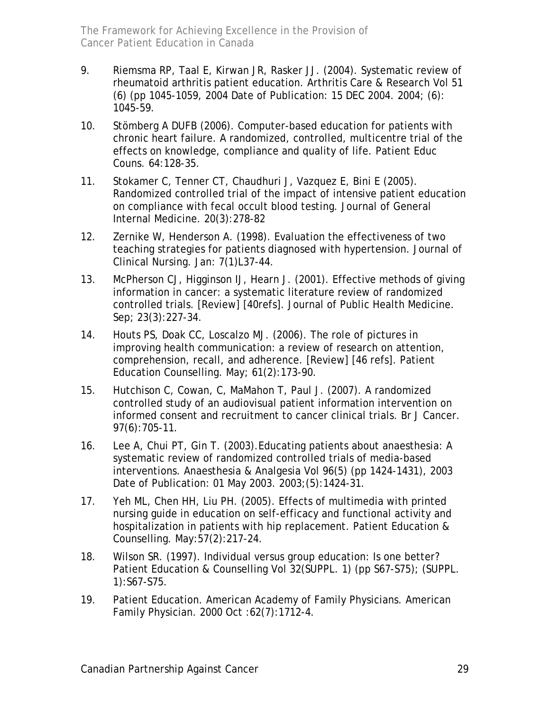- 9. Riemsma RP, Taal E, Kirwan JR, Rasker JJ. (2004). Systematic review of rheumatoid arthritis patient education. Arthritis Care & Research Vol 51 (6) (pp 1045-1059, 2004 Date of Publication: 15 DEC 2004. 2004; (6): 1045-59.
- 10. Stömberg A DUFB (2006). Computer-based education for patients with chronic heart failure. A randomized, controlled, multicentre trial of the effects on knowledge, compliance and quality of life. Patient Educ Couns. 64:128-35.
- 11. Stokamer C, Tenner CT, Chaudhuri J, Vazquez E, Bini E (2005). Randomized controlled trial of the impact of intensive patient education on compliance with fecal occult blood testing. Journal of General Internal Medicine. 20(3):278-82
- 12. Zernike W, Henderson A. (1998). Evaluation the effectiveness of two teaching strategies for patients diagnosed with hypertension. Journal of Clinical Nursing. Jan: 7(1)L37-44.
- 13. McPherson CJ, Higginson IJ, Hearn J. (2001). Effective methods of giving information in cancer: a systematic literature review of randomized controlled trials. [Review] [40refs]. Journal of Public Health Medicine. Sep; 23(3):227-34.
- 14. Houts PS, Doak CC, Loscalzo MJ. (2006). The role of pictures in improving health communication: a review of research on attention, comprehension, recall, and adherence. [Review] [46 refs]. Patient Education Counselling. May; 61(2):173-90.
- 15. Hutchison C, Cowan, C, MaMahon T, Paul J. (2007). A randomized controlled study of an audiovisual patient information intervention on informed consent and recruitment to cancer clinical trials. Br J Cancer. 97(6):705-11.
- 16. Lee A, Chui PT, Gin T. (2003).Educating patients about anaesthesia: A systematic review of randomized controlled trials of media-based interventions. Anaesthesia & Analgesia Vol 96(5) (pp 1424-1431), 2003 Date of Publication: 01 May 2003. 2003;(5):1424-31.
- 17. Yeh ML, Chen HH, Liu PH. (2005). Effects of multimedia with printed nursing guide in education on self-efficacy and functional activity and hospitalization in patients with hip replacement. Patient Education & Counselling. May:57(2):217-24.
- 18. Wilson SR. (1997). Individual versus group education: Is one better? Patient Education & Counselling Vol 32(SUPPL. 1) (pp S67-S75); (SUPPL. 1):S67-S75.
- 19. Patient Education. American Academy of Family Physicians. American Family Physician. 2000 Oct :62(7):1712-4.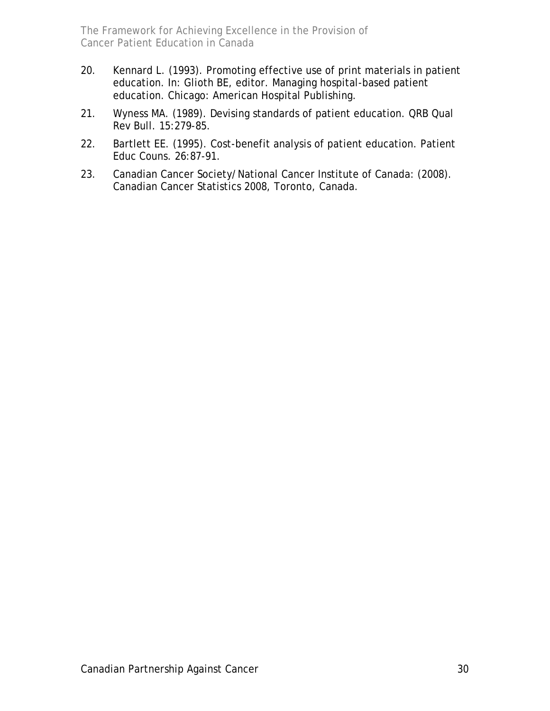- 20. Kennard L. (1993). Promoting effective use of print materials in patient education. In: Glioth BE, editor. Managing hospital-based patient education. Chicago: American Hospital Publishing.
- 21. Wyness MA. (1989). Devising standards of patient education. QRB Qual Rev Bull. 15:279-85.
- 22. Bartlett EE. (1995). Cost-benefit analysis of patient education. Patient Educ Couns. 26:87-91.
- 23. Canadian Cancer Society/National Cancer Institute of Canada: (2008). Canadian Cancer Statistics 2008, Toronto, Canada.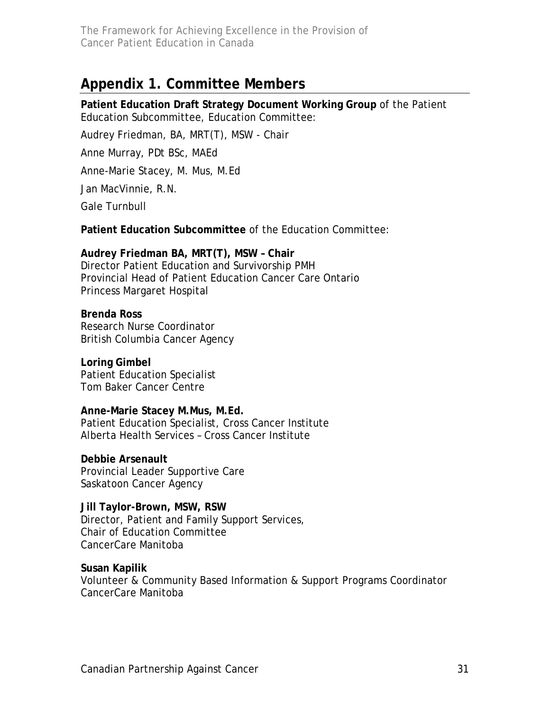## <span id="page-30-0"></span>**Appendix 1. Committee Members**

**Patient Education Draft Strategy Document Working Group** of the Patient Education Subcommittee, Education Committee:

Audrey Friedman, BA, MRT(T), MSW - Chair

Anne Murray, PDt BSc, MAEd

Anne-Marie Stacey, M. Mus, M.Ed

Jan MacVinnie, R.N.

Gale Turnbull

**Patient Education Subcommittee** of the Education Committee:

**Audrey Friedman BA, MRT(T), MSW – Chair**  Director Patient Education and Survivorship PMH Provincial Head of Patient Education Cancer Care Ontario Princess Margaret Hospital

**Brenda Ross**  Research Nurse Coordinator British Columbia Cancer Agency

**Loring Gimbel**  Patient Education Specialist Tom Baker Cancer Centre

**Anne-Marie Stacey M.Mus, M.Ed.**  Patient Education Specialist, Cross Cancer Institute Alberta Health Services – Cross Cancer Institute

**Debbie Arsenault**  Provincial Leader Supportive Care Saskatoon Cancer Agency

**Jill Taylor-Brown, MSW, RSW**  Director, Patient and Family Support Services, Chair of Education Committee CancerCare Manitoba

**Susan Kapilik**  Volunteer & Community Based Information & Support Programs Coordinator CancerCare Manitoba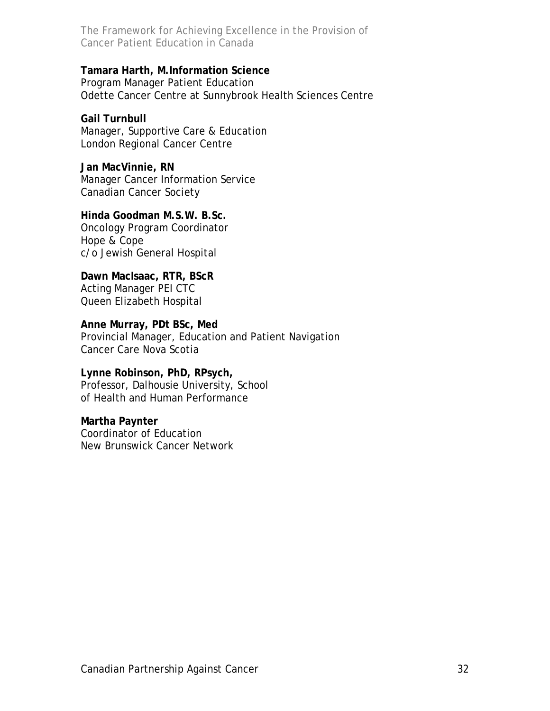#### **Tamara Harth, M.Information Science**

Program Manager Patient Education Odette Cancer Centre at Sunnybrook Health Sciences Centre

#### **Gail Turnbull**

Manager, Supportive Care & Education London Regional Cancer Centre

**Jan MacVinnie, RN**  Manager Cancer Information Service Canadian Cancer Society

#### **Hinda Goodman M.S.W. B.Sc.**

Oncology Program Coordinator Hope & Cope c/o Jewish General Hospital

**Dawn MacIsaac, RTR, BScR**  Acting Manager PEI CTC Queen Elizabeth Hospital

**Anne Murray, PDt BSc, Med**  Provincial Manager, Education and Patient Navigation Cancer Care Nova Scotia

**Lynne Robinson, PhD, RPsych,**  Professor, Dalhousie University, School of Health and Human Performance

#### **Martha Paynter**

Coordinator of Education New Brunswick Cancer Network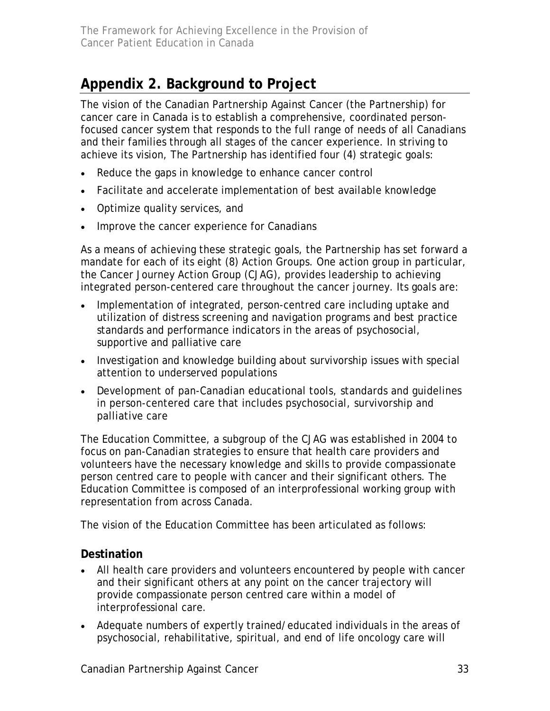## <span id="page-32-0"></span>**Appendix 2. Background to Project**

The vision of the Canadian Partnership Against Cancer (the Partnership) for cancer care in Canada is to establish a comprehensive, coordinated personfocused cancer system that responds to the full range of needs of all Canadians and their families through all stages of the cancer experience. In striving to achieve its vision, The Partnership has identified four (4) strategic goals:

- Reduce the gaps in knowledge to enhance cancer control
- Facilitate and accelerate implementation of best available knowledge
- Optimize quality services, and
- Improve the cancer experience for Canadians

As a means of achieving these strategic goals, the Partnership has set forward a mandate for each of its eight (8) Action Groups. One action group in particular, the Cancer Journey Action Group (CJAG), provides leadership to achieving integrated person-centered care throughout the cancer journey. Its goals are:

- Implementation of integrated, person-centred care including uptake and utilization of distress screening and navigation programs and best practice standards and performance indicators in the areas of psychosocial, supportive and palliative care
- Investigation and knowledge building about survivorship issues with special attention to underserved populations
- Development of pan-Canadian educational tools, standards and guidelines in person-centered care that includes psychosocial, survivorship and palliative care

The Education Committee, a subgroup of the CJAG was established in 2004 to focus on pan-Canadian strategies to ensure that health care providers and volunteers have the necessary knowledge and skills to provide compassionate person centred care to people with cancer and their significant others. The Education Committee is composed of an interprofessional working group with representation from across Canada.

The vision of the Education Committee has been articulated as follows:

### **Destination**

- All health care providers and volunteers encountered by people with cancer and their significant others at any point on the cancer trajectory will provide compassionate person centred care within a model of interprofessional care.
- Adequate numbers of expertly trained/educated individuals in the areas of psychosocial, rehabilitative, spiritual, and end of life oncology care will